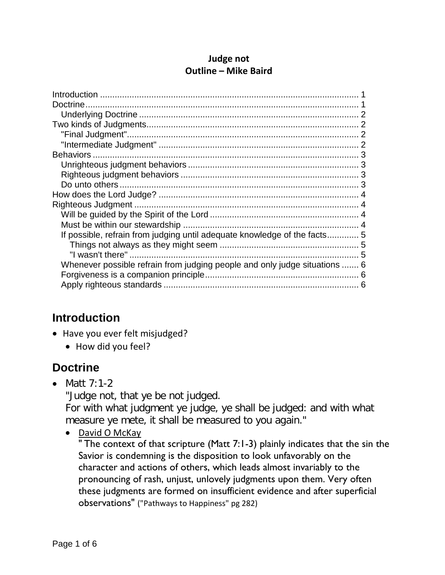#### **Judge not Outline – Mike Baird**

| If possible, refrain from judging until adequate knowledge of the facts5   |  |
|----------------------------------------------------------------------------|--|
|                                                                            |  |
|                                                                            |  |
| Whenever possible refrain from judging people and only judge situations  6 |  |
|                                                                            |  |
|                                                                            |  |
|                                                                            |  |

### <span id="page-0-0"></span>**Introduction**

- Have you ever felt misjudged?
	- How did you feel?

## <span id="page-0-1"></span>**Doctrine**

• Matt 7:1-2

"Judge not, that ye be not judged.

For with what judgment ye judge, ye shall be judged: and with what measure ye mete, it shall be measured to you again."

• David O McKay

" The context of that scripture (Matt 7:1-3) plainly indicates that the sin the Savior is condemning is the disposition to look unfavorably on the character and actions of others, which leads almost invariably to the pronouncing of rash, unjust, unlovely judgments upon them. Very often these judgments are formed on insufficient evidence and after superficial observations" ("Pathways to Happiness" pg 282)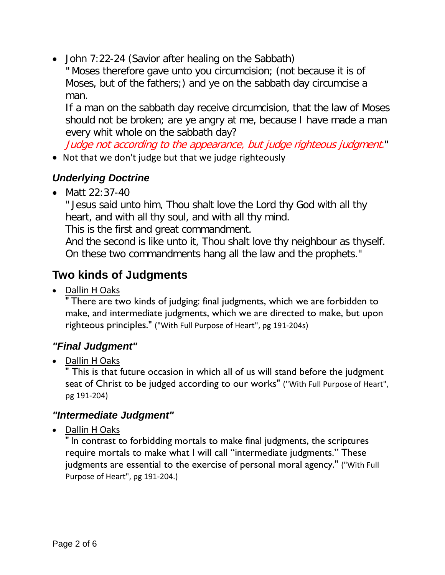• John 7:22-24 (Savior after healing on the Sabbath)

" Moses therefore gave unto you circumcision; (not because it is of Moses, but of the fathers;) and ye on the sabbath day circumcise a man.

If a man on the sabbath day receive circumcision, that the law of Moses should not be broken; are ye angry at me, because I have made a man every whit whole on the sabbath day?

Judge not according to the appearance, but judge righteous judgment."

• Not that we don't judge but that we judge righteously

### <span id="page-1-0"></span>*Underlying Doctrine*

• Matt 22:37-40

" Jesus said unto him, Thou shalt love the Lord thy God with all thy heart, and with all thy soul, and with all thy mind.

This is the first and great commandment.

And the second is like unto it, Thou shalt love thy neighbour as thyself. On these two commandments hang all the law and the prophets."

# <span id="page-1-1"></span>**Two kinds of Judgments**

• Dallin H Oaks

" There are two kinds of judging: final judgments, which we are forbidden to make, and intermediate judgments, which we are directed to make, but upon righteous principles." ("With Full Purpose of Heart", pg 191-204s)

### <span id="page-1-2"></span>*"Final Judgment"*

• Dallin HOaks

" This is that future occasion in which all of us will stand before the judgment seat of Christ to be judged according to our works" ("With Full Purpose of Heart", pg 191-204)

### <span id="page-1-3"></span>*"Intermediate Judgment"*

• Dallin H Oaks

" In contrast to forbidding mortals to make final judgments, the scriptures require mortals to make what I will call "intermediate judgments." These judgments are essential to the exercise of personal moral agency." ("With Full Purpose of Heart", pg 191-204.)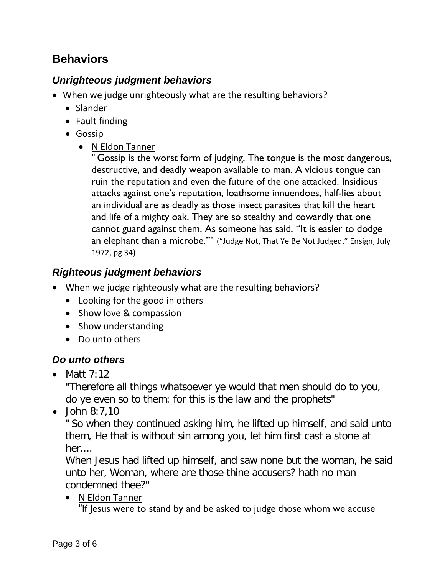## <span id="page-2-0"></span>**Behaviors**

### <span id="page-2-1"></span>*Unrighteous judgment behaviors*

- When we judge unrighteously what are the resulting behaviors?
	- Slander
	- Fault finding
	- Gossip
		- N Eldon Tanner

"Gossip is the worst form of judging. The tongue is the most dangerous, destructive, and deadly weapon available to man. A vicious tongue can ruin the reputation and even the future of the one attacked. Insidious attacks against one's reputation, loathsome innuendoes, half-lies about an individual are as deadly as those insect parasites that kill the heart and life of a mighty oak. They are so stealthy and cowardly that one cannot guard against them. As someone has said, "It is easier to dodge an elephant than a microbe."" ("Judge Not, That Ye Be Not Judged," Ensign, July 1972, pg 34)

### <span id="page-2-2"></span>*Righteous judgment behaviors*

- When we judge righteously what are the resulting behaviors?
	- Looking for the good in others
	- Show love & compassion
	- Show understanding
	- Do unto others

### <span id="page-2-3"></span>*Do unto others*

• Matt  $7:12$ 

"Therefore all things whatsoever ye would that men should do to you, do ye even so to them: for this is the law and the prophets"

• John 8:7,10

" So when they continued asking him, he lifted up himself, and said unto them, He that is without sin among you, let him first cast a stone at her....

When Jesus had lifted up himself, and saw none but the woman, he said unto her, Woman, where are those thine accusers? hath no man condemned thee?"

• N Eldon Tanner

"If Jesus were to stand by and be asked to judge those whom we accuse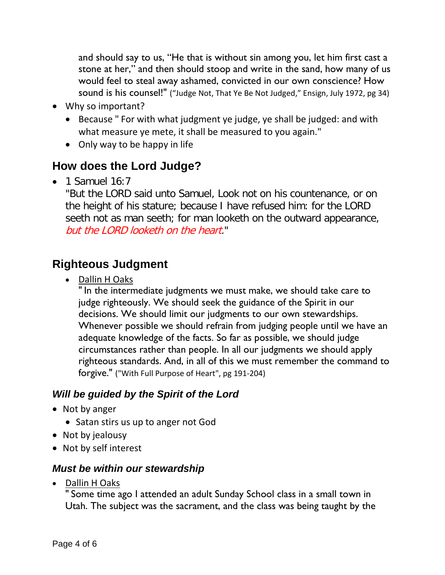and should say to us, "He that is without sin among you, let him first cast a stone at her," and then should stoop and write in the sand, how many of us would feel to steal away ashamed, convicted in our own conscience? How sound is his counsel!" ("Judge Not, That Ye Be Not Judged," Ensign, July 1972, pg 34)

- Why so important?
	- Because " For with what judgment ye judge, ye shall be judged: and with what measure ye mete, it shall be measured to you again."
	- Only way to be happy in life

# <span id="page-3-0"></span>**How does the Lord Judge?**

 $\bullet$  1 Samuel 16:7

"But the LORD said unto Samuel, Look not on his countenance, or on the height of his stature; because I have refused him: for the LORD seeth not as man seeth; for man looketh on the outward appearance, but the LORD looketh on the heart."

## <span id="page-3-1"></span>**Righteous Judgment**

• Dallin H Oaks

" In the intermediate judgments we must make, we should take care to judge righteously. We should seek the guidance of the Spirit in our decisions. We should limit our judgments to our own stewardships. Whenever possible we should refrain from judging people until we have an adequate knowledge of the facts. So far as possible, we should judge circumstances rather than people. In all our judgments we should apply righteous standards. And, in all of this we must remember the command to forgive." ("With Full Purpose of Heart", pg 191-204)

### <span id="page-3-2"></span>*Will be guided by the Spirit of the Lord*

- Not by anger
	- Satan stirs us up to anger not God
- Not by jealousy
- Not by self interest

### <span id="page-3-3"></span>*Must be within our stewardship*

• Dallin H Oaks

" Some time ago I attended an adult Sunday School class in a small town in Utah. The subject was the sacrament, and the class was being taught by the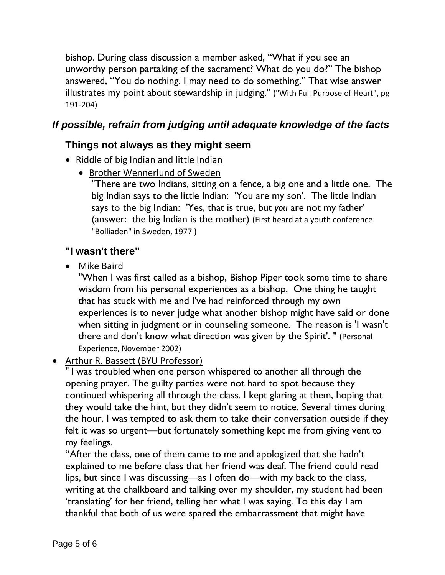bishop. During class discussion a member asked, "What if you see an unworthy person partaking of the sacrament? What do you do?" The bishop answered, "You do nothing. I may need to do something." That wise answer illustrates my point about stewardship in judging." ("With Full Purpose of Heart", pg 191-204)

### <span id="page-4-1"></span><span id="page-4-0"></span>*If possible, refrain from judging until adequate knowledge of the facts*

#### **Things not always as they might seem**

- Riddle of big Indian and little Indian
	- Brother Wennerlund of Sweden

"There are two Indians, sitting on a fence, a big one and a little one. The big Indian says to the little Indian: 'You are my son'. The little Indian says to the big Indian: 'Yes, that is true, but *you* are not my father' (answer: the big Indian is the mother) (First heard at a youth conference "Bolliaden" in Sweden, 1977 )

#### <span id="page-4-2"></span>**"I wasn't there"**

• Mike Baird

"When I was first called as a bishop, Bishop Piper took some time to share wisdom from his personal experiences as a bishop. One thing he taught that has stuck with me and I've had reinforced through my own experiences is to never judge what another bishop might have said or done when sitting in judgment or in counseling someone. The reason is 'I wasn't there and don't know what direction was given by the Spirit'. " (Personal Experience, November 2002)

• Arthur R. Bassett (BYU Professor)

" I was troubled when one person whispered to another all through the opening prayer. The guilty parties were not hard to spot because they continued whispering all through the class. I kept glaring at them, hoping that they would take the hint, but they didn't seem to notice. Several times during the hour, I was tempted to ask them to take their conversation outside if they felt it was so urgent—but fortunately something kept me from giving vent to my feelings.

"After the class, one of them came to me and apologized that she hadn't explained to me before class that her friend was deaf. The friend could read lips, but since I was discussing—as I often do—with my back to the class, writing at the chalkboard and talking over my shoulder, my student had been 'translating' for her friend, telling her what I was saying. To this day I am thankful that both of us were spared the embarrassment that might have